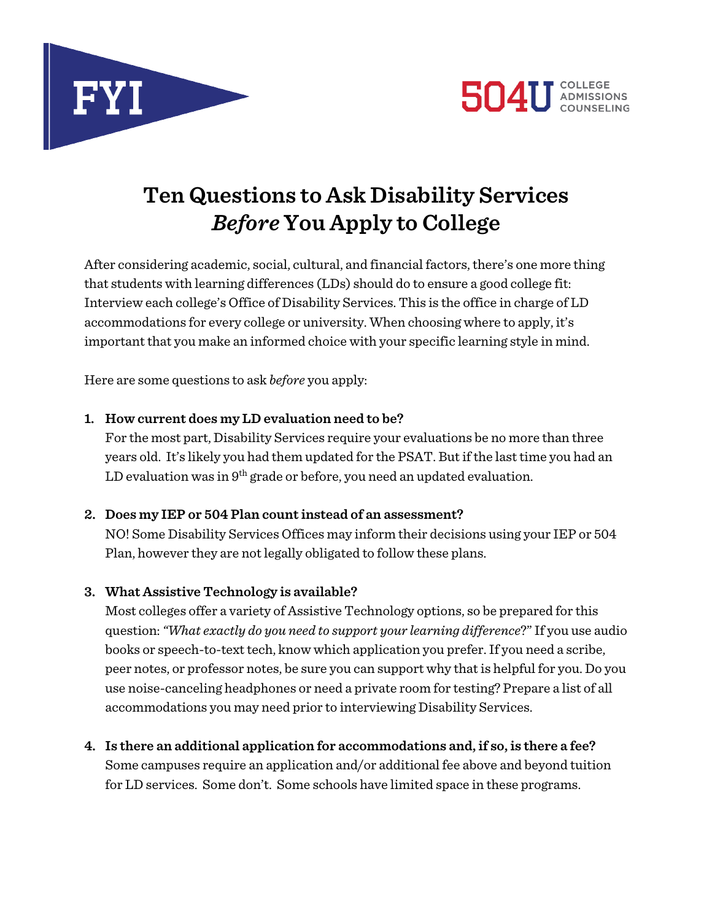



# **Ten Questions to Ask Disability Services** *Before* **You Apply to College**

After considering academic, social, cultural, and financial factors, there's one more thing that students with learning differences (LDs) should do to ensure a good college fit: Interview each college's Office of Disability Services. This is the office in charge of LD accommodations for every college or university. When choosing where to apply, it's important that you make an informed choice with your specific learning style in mind.

Here are some questions to ask *before* you apply:

## **1. How current does my LD evaluation need to be?**

For the most part, Disability Services require your evaluations be no more than three years old. It's likely you had them updated for the PSAT. But if the last time you had an LD evaluation was in  $9<sup>th</sup>$  grade or before, you need an updated evaluation.

## **2. Does my IEP or 504 Plan count instead of an assessment?**

NO! Some Disability Services Offices may inform their decisions using your IEP or 504 Plan, however they are not legally obligated to follow these plans.

# **3. What Assistive Technology is available?**

Most colleges offer a variety of Assistive Technology options, so be prepared for this question: *"What exactly do you need to support your learning difference*?"If you use audio books or speech-to-text tech, know which application you prefer.If you need a scribe, peer notes, or professor notes, be sure you can support why that is helpful for you. Do you use noise-canceling headphones or need a private room for testing? Prepare a list of all accommodations you may need prior to interviewing Disability Services.

**4. Is there an additional application for accommodations and, if so, is there a fee?** Some campuses require an application and/or additional fee above and beyond tuition for LD services. Some don't. Some schools have limited space in these programs.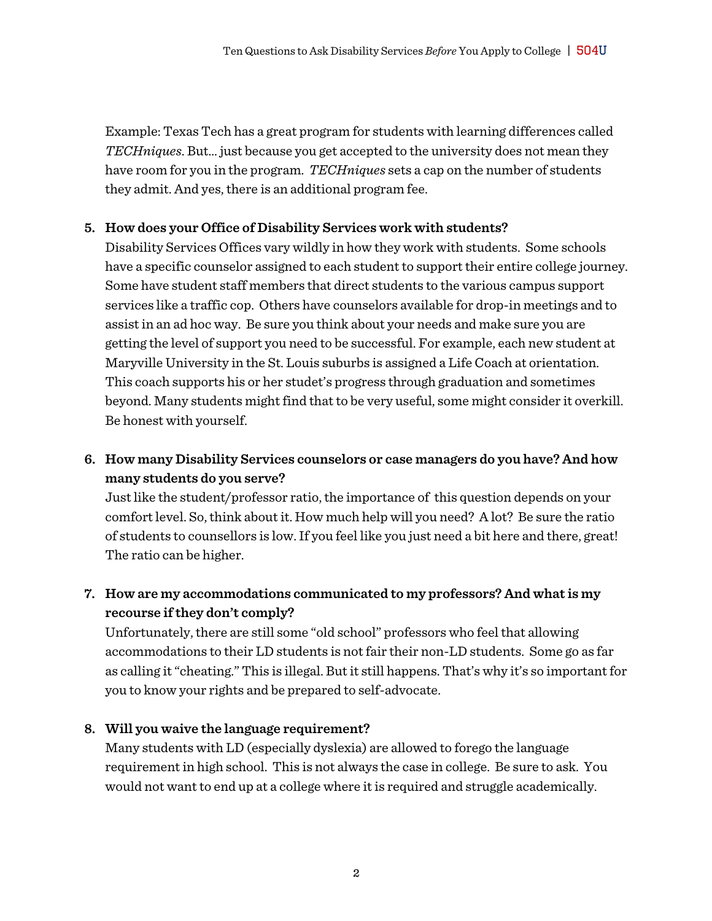Example: Texas Tech has a great program for students with learning differences called *TECHniques*. But… just because you get accepted to the university does not mean they have room for you in the program. *TECHniques* sets a cap on the number of students they admit. And yes, there is an additional program fee.

#### **5. How does your Office of Disability Services work with students?**

Disability Services Offices vary wildly in how they work with students. Some schools have a specific counselor assigned to each student to support their entire college journey. Some have student staff members that direct students to the various campus support services like a traffic cop. Others have counselors available for drop-in meetings and to assist in an ad hoc way. Be sure you think about your needs and make sure you are getting the level of support you need to be successful. For example, each new student at Maryville University in the St. Louis suburbs is assigned a Life Coach at orientation. This coach supports his or her studet's progress through graduation and sometimes beyond. Many students might find that to be very useful, some might consider it overkill. Be honest with yourself.

## **6. How many Disability Services counselors or case managers do you have? And how many students do you serve?**

Just like the student/professor ratio, the importance of this question depends on your comfort level. So, think about it. How much help will you need? A lot? Be sure the ratio of students to counsellors is low. If you feel like you just need a bit here and there, great! The ratio can be higher.

## **7. How are my accommodations communicated to my professors? And what is my recourse if they don't comply?**

Unfortunately, there are still some "old school" professors who feel that allowing accommodations to their LD students is not fair their non-LD students. Some go as far as calling it "cheating." This is illegal. But it still happens. That's why it's so important for you to know your rights and be prepared to self-advocate.

#### **8. Will you waive the language requirement?**

Many students with LD (especially dyslexia) are allowed to forego the language requirement in high school. This is not always the case in college. Be sure to ask. You would not want to end up at a college where it is required and struggle academically.